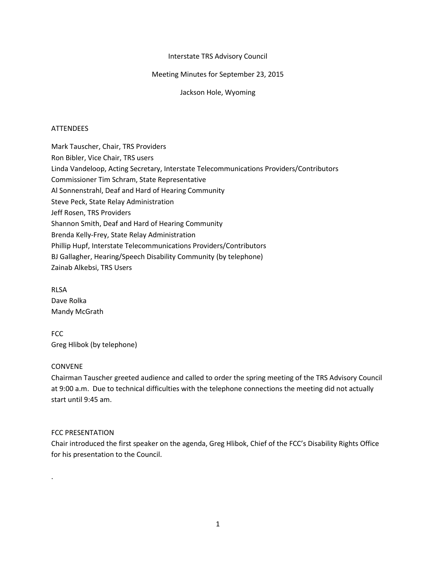# Interstate TRS Advisory Council

# Meeting Minutes for September 23, 2015

Jackson Hole, Wyoming

# ATTENDEES

Mark Tauscher, Chair, TRS Providers Ron Bibler, Vice Chair, TRS users Linda Vandeloop, Acting Secretary, Interstate Telecommunications Providers/Contributors Commissioner Tim Schram, State Representative Al Sonnenstrahl, Deaf and Hard of Hearing Community Steve Peck, State Relay Administration Jeff Rosen, TRS Providers Shannon Smith, Deaf and Hard of Hearing Community Brenda Kelly-Frey, State Relay Administration Phillip Hupf, Interstate Telecommunications Providers/Contributors BJ Gallagher, Hearing/Speech Disability Community (by telephone) Zainab Alkebsi, TRS Users

RLSA Dave Rolka Mandy McGrath

FCC Greg Hlibok (by telephone)

## CONVENE

.

Chairman Tauscher greeted audience and called to order the spring meeting of the TRS Advisory Council at 9:00 a.m. Due to technical difficulties with the telephone connections the meeting did not actually start until 9:45 am.

## FCC PRESENTATION

Chair introduced the first speaker on the agenda, Greg Hlibok, Chief of the FCC's Disability Rights Office for his presentation to the Council.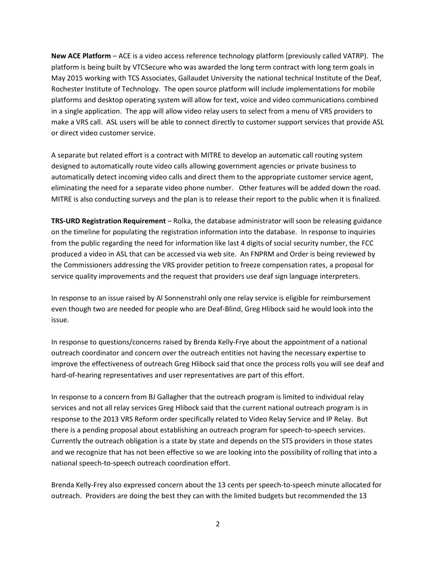**New ACE Platform** – ACE is a video access reference technology platform (previously called VATRP). The platform is being built by VTCSecure who was awarded the long term contract with long term goals in May 2015 working with TCS Associates, Gallaudet University the national technical Institute of the Deaf, Rochester Institute of Technology. The open source platform will include implementations for mobile platforms and desktop operating system will allow for text, voice and video communications combined in a single application. The app will allow video relay users to select from a menu of VRS providers to make a VRS call. ASL users will be able to connect directly to customer support services that provide ASL or direct video customer service.

A separate but related effort is a contract with MITRE to develop an automatic call routing system designed to automatically route video calls allowing government agencies or private business to automatically detect incoming video calls and direct them to the appropriate customer service agent, eliminating the need for a separate video phone number. Other features will be added down the road. MITRE is also conducting surveys and the plan is to release their report to the public when it is finalized.

**TRS-URD Registration Requirement** – Rolka, the database administrator will soon be releasing guidance on the timeline for populating the registration information into the database. In response to inquiries from the public regarding the need for information like last 4 digits of social security number, the FCC produced a video in ASL that can be accessed via web site. An FNPRM and Order is being reviewed by the Commissioners addressing the VRS provider petition to freeze compensation rates, a proposal for service quality improvements and the request that providers use deaf sign language interpreters.

In response to an issue raised by Al Sonnenstrahl only one relay service is eligible for reimbursement even though two are needed for people who are Deaf-Blind, Greg Hlibock said he would look into the issue.

In response to questions/concerns raised by Brenda Kelly-Frye about the appointment of a national outreach coordinator and concern over the outreach entities not having the necessary expertise to improve the effectiveness of outreach Greg Hlibock said that once the process rolls you will see deaf and hard-of-hearing representatives and user representatives are part of this effort.

In response to a concern from BJ Gallagher that the outreach program is limited to individual relay services and not all relay services Greg Hlibock said that the current national outreach program is in response to the 2013 VRS Reform order specifically related to Video Relay Service and IP Relay. But there is a pending proposal about establishing an outreach program for speech-to-speech services. Currently the outreach obligation is a state by state and depends on the STS providers in those states and we recognize that has not been effective so we are looking into the possibility of rolling that into a national speech-to-speech outreach coordination effort.

Brenda Kelly-Frey also expressed concern about the 13 cents per speech-to-speech minute allocated for outreach. Providers are doing the best they can with the limited budgets but recommended the 13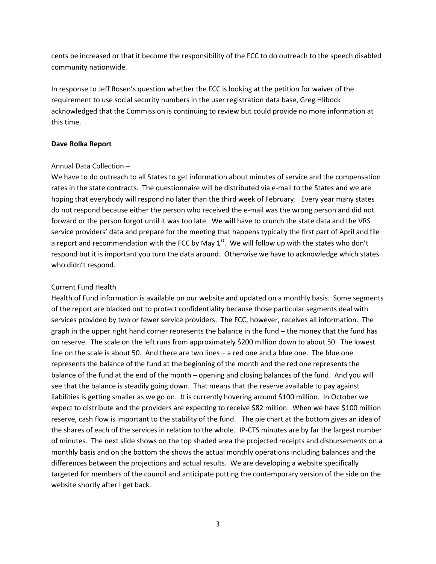cents be increased or that it become the responsibility of the FCC to do outreach to the speech disabled community nationwide.

In response to Jeff Rosen's question whether the FCC is looking at the petition for waiver of the requirement to use social security numbers in the user registration data base, Greg Hlibock acknowledged that the Commission is continuing to review but could provide no more information at this time.

#### **Dave Rolka Report**

## Annual Data Collection –

We have to do outreach to all States to get information about minutes of service and the compensation rates in the state contracts. The questionnaire will be distributed via e-mail to the States and we are hoping that everybody will respond no later than the third week of February. Every year many states do not respond because either the person who received the e-mail was the wrong person and did not forward or the person forgot until it was too late. We will have to crunch the state data and the VRS service providers' data and prepare for the meeting that happens typically the first part of April and file a report and recommendation with the FCC by May  $1<sup>st</sup>$ . We will follow up with the states who don't respond but it is important you turn the data around. Otherwise we have to acknowledge which states who didn't respond.

## Current Fund Health

Health of Fund information is available on our website and updated on a monthly basis. Some segments of the report are blacked out to protect confidentiality because those particular segments deal with services provided by two or fewer service providers. The FCC, however, receives all information. The graph in the upper right hand corner represents the balance in the fund – the money that the fund has on reserve. The scale on the left runs from approximately \$200 million down to about 50. The lowest line on the scale is about 50. And there are two lines – a red one and a blue one. The blue one represents the balance of the fund at the beginning of the month and the red one represents the balance of the fund at the end of the month – opening and closing balances of the fund. And you will see that the balance is steadily going down. That means that the reserve available to pay against liabilities is getting smaller as we go on. It is currently hovering around \$100 million. In October we expect to distribute and the providers are expecting to receive \$82 million. When we have \$100 million reserve, cash flow is important to the stability of the fund. The pie chart at the bottom gives an idea of the shares of each of the services in relation to the whole. IP-CTS minutes are by far the largest number of minutes. The next slide shows on the top shaded area the projected receipts and disbursements on a monthly basis and on the bottom the shows the actual monthly operations including balances and the differences between the projections and actual results. We are developing a website specifically targeted for members of the council and anticipate putting the contemporary version of the side on the website shortly after I get back.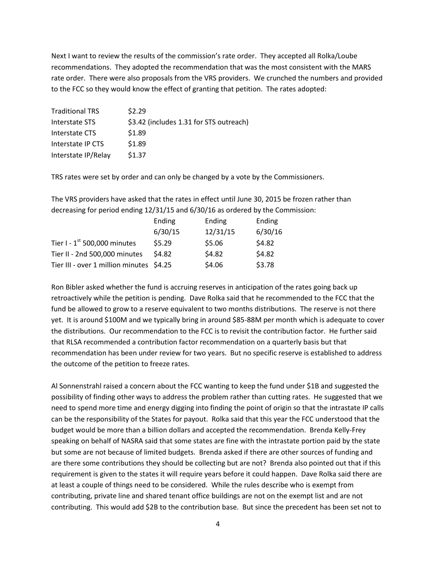Next I want to review the results of the commission's rate order. They accepted all Rolka/Loube recommendations. They adopted the recommendation that was the most consistent with the MARS rate order. There were also proposals from the VRS providers. We crunched the numbers and provided to the FCC so they would know the effect of granting that petition. The rates adopted:

| <b>Traditional TRS</b> | \$2.29                                  |
|------------------------|-----------------------------------------|
| Interstate STS         | \$3.42 (includes 1.31 for STS outreach) |
| Interstate CTS         | \$1.89                                  |
| Interstate IP CTS      | \$1.89                                  |
| Interstate IP/Relay    | \$1.37                                  |

TRS rates were set by order and can only be changed by a vote by the Commissioners.

The VRS providers have asked that the rates in effect until June 30, 2015 be frozen rather than decreasing for period ending 12/31/15 and 6/30/16 as ordered by the Commission:

|                                          | Ending  | Ending   | Ending  |
|------------------------------------------|---------|----------|---------|
|                                          | 6/30/15 | 12/31/15 | 6/30/16 |
| Tier I - $1^{st}$ 500,000 minutes        | \$5.29  | \$5.06   | \$4.82  |
| Tier II - 2nd 500,000 minutes            | \$4.82  | \$4.82   | \$4.82  |
| Tier III - over 1 million minutes \$4.25 |         | \$4.06   | \$3.78  |

Ron Bibler asked whether the fund is accruing reserves in anticipation of the rates going back up retroactively while the petition is pending. Dave Rolka said that he recommended to the FCC that the fund be allowed to grow to a reserve equivalent to two months distributions. The reserve is not there yet. It is around \$100M and we typically bring in around \$85-88M per month which is adequate to cover the distributions. Our recommendation to the FCC is to revisit the contribution factor. He further said that RLSA recommended a contribution factor recommendation on a quarterly basis but that recommendation has been under review for two years. But no specific reserve is established to address the outcome of the petition to freeze rates.

Al Sonnenstrahl raised a concern about the FCC wanting to keep the fund under \$1B and suggested the possibility of finding other ways to address the problem rather than cutting rates. He suggested that we need to spend more time and energy digging into finding the point of origin so that the intrastate IP calls can be the responsibility of the States for payout. Rolka said that this year the FCC understood that the budget would be more than a billion dollars and accepted the recommendation. Brenda Kelly-Frey speaking on behalf of NASRA said that some states are fine with the intrastate portion paid by the state but some are not because of limited budgets. Brenda asked if there are other sources of funding and are there some contributions they should be collecting but are not? Brenda also pointed out that if this requirement is given to the states it will require years before it could happen. Dave Rolka said there are at least a couple of things need to be considered. While the rules describe who is exempt from contributing, private line and shared tenant office buildings are not on the exempt list and are not contributing. This would add \$2B to the contribution base. But since the precedent has been set not to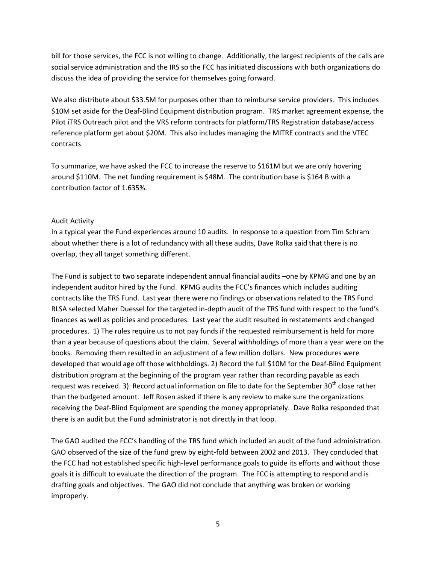bill for those services, the FCC is not willing to change. Additionally, the largest recipients of the calls are social service administration and the IRS so the FCC has initiated discussions with both organizations do discuss the idea of providing the service for themselves going forward.

We also distribute about \$33.5M for purposes other than to reimburse service providers. This includes \$10M set aside for the Deaf-Blind Equipment distribution program. TRS market agreement expense, the Pilot iTRS Outreach pilot and the VRS reform contracts for platform/TRS Registration database/access reference platform get about \$20M. This also includes managing the MITRE contracts and the VTEC contracts.

To summarize, we have asked the FCC to increase the reserve to \$161M but we are only hovering around \$110M. The net funding requirement is \$48M. The contribution base is \$164 B with a contribution factor of 1.635%.

## Audit Activity

In a typical year the Fund experiences around 10 audits. In response to a question from Tim Schram about whether there is a lot of redundancy with all these audits, Dave Rolka said that there is no overlap, they all target something different.

The Fund is subject to two separate independent annual financial audits –one by KPMG and one by an independent auditor hired by the Fund. KPMG audits the FCC's finances which includes auditing contracts like the TRS Fund. Last year there were no findings or observations related to the TRS Fund. RLSA selected Maher Duessel for the targeted in-depth audit of the TRS fund with respect to the fund's finances as well as policies and procedures. Last year the audit resulted in restatements and changed procedures. 1) The rules require us to not pay funds if the requested reimbursement is held for more than a year because of questions about the claim. Several withholdings of more than a year were on the books. Removing them resulted in an adjustment of a few million dollars. New procedures were developed that would age off those withholdings. 2) Record the full \$10M for the Deaf-Blind Equipment distribution program at the beginning of the program year rather than recording payable as each request was received. 3) Record actual information on file to date for the September  $30<sup>th</sup>$  close rather than the budgeted amount. Jeff Rosen asked if there is any review to make sure the organizations receiving the Deaf-Blind Equipment are spending the money appropriately. Dave Rolka responded that there is an audit but the Fund administrator is not directly in that loop.

The GAO audited the FCC's handling of the TRS fund which included an audit of the fund administration. GAO observed of the size of the fund grew by eight-fold between 2002 and 2013. They concluded that the FCC had not established specific high-level performance goals to guide its efforts and without those goals it is difficult to evaluate the direction of the program. The FCC is attempting to respond and is drafting goals and objectives. The GAO did not conclude that anything was broken or working improperly.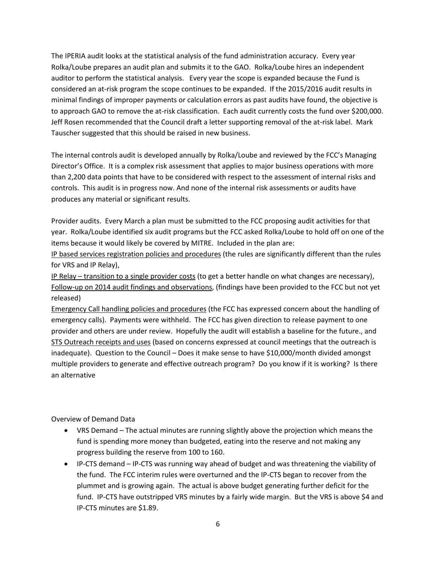The IPERIA audit looks at the statistical analysis of the fund administration accuracy. Every year Rolka/Loube prepares an audit plan and submits it to the GAO. Rolka/Loube hires an independent auditor to perform the statistical analysis. Every year the scope is expanded because the Fund is considered an at-risk program the scope continues to be expanded. If the 2015/2016 audit results in minimal findings of improper payments or calculation errors as past audits have found, the objective is to approach GAO to remove the at-risk classification. Each audit currently costs the fund over \$200,000. Jeff Rosen recommended that the Council draft a letter supporting removal of the at-risk label. Mark Tauscher suggested that this should be raised in new business.

The internal controls audit is developed annually by Rolka/Loube and reviewed by the FCC's Managing Director's Office. It is a complex risk assessment that applies to major business operations with more than 2,200 data points that have to be considered with respect to the assessment of internal risks and controls. This audit is in progress now. And none of the internal risk assessments or audits have produces any material or significant results.

Provider audits. Every March a plan must be submitted to the FCC proposing audit activities for that year. Rolka/Loube identified six audit programs but the FCC asked Rolka/Loube to hold off on one of the items because it would likely be covered by MITRE. Included in the plan are:

IP based services registration policies and procedures (the rules are significantly different than the rules for VRS and IP Relay),

IP Relay – transition to a single provider costs (to get a better handle on what changes are necessary), Follow-up on 2014 audit findings and observations, (findings have been provided to the FCC but not yet released)

Emergency Call handling policies and procedures (the FCC has expressed concern about the handling of emergency calls). Payments were withheld. The FCC has given direction to release payment to one provider and others are under review. Hopefully the audit will establish a baseline for the future., and STS Outreach receipts and uses (based on concerns expressed at council meetings that the outreach is inadequate). Question to the Council – Does it make sense to have \$10,000/month divided amongst multiple providers to generate and effective outreach program? Do you know if it is working? Is there an alternative

Overview of Demand Data

- VRS Demand The actual minutes are running slightly above the projection which means the fund is spending more money than budgeted, eating into the reserve and not making any progress building the reserve from 100 to 160.
- IP-CTS demand IP-CTS was running way ahead of budget and was threatening the viability of the fund. The FCC interim rules were overturned and the IP-CTS began to recover from the plummet and is growing again. The actual is above budget generating further deficit for the fund. IP-CTS have outstripped VRS minutes by a fairly wide margin. But the VRS is above \$4 and IP-CTS minutes are \$1.89.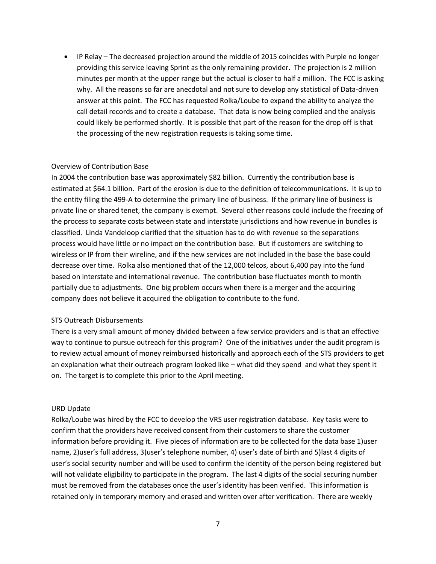• IP Relay – The decreased projection around the middle of 2015 coincides with Purple no longer providing this service leaving Sprint as the only remaining provider. The projection is 2 million minutes per month at the upper range but the actual is closer to half a million. The FCC is asking why. All the reasons so far are anecdotal and not sure to develop any statistical of Data-driven answer at this point. The FCC has requested Rolka/Loube to expand the ability to analyze the call detail records and to create a database. That data is now being complied and the analysis could likely be performed shortly. It is possible that part of the reason for the drop off is that the processing of the new registration requests is taking some time.

#### Overview of Contribution Base

In 2004 the contribution base was approximately \$82 billion. Currently the contribution base is estimated at \$64.1 billion. Part of the erosion is due to the definition of telecommunications. It is up to the entity filing the 499-A to determine the primary line of business. If the primary line of business is private line or shared tenet, the company is exempt. Several other reasons could include the freezing of the process to separate costs between state and interstate jurisdictions and how revenue in bundles is classified. Linda Vandeloop clarified that the situation has to do with revenue so the separations process would have little or no impact on the contribution base. But if customers are switching to wireless or IP from their wireline, and if the new services are not included in the base the base could decrease over time. Rolka also mentioned that of the 12,000 telcos, about 6,400 pay into the fund based on interstate and international revenue. The contribution base fluctuates month to month partially due to adjustments. One big problem occurs when there is a merger and the acquiring company does not believe it acquired the obligation to contribute to the fund.

#### STS Outreach Disbursements

There is a very small amount of money divided between a few service providers and is that an effective way to continue to pursue outreach for this program? One of the initiatives under the audit program is to review actual amount of money reimbursed historically and approach each of the STS providers to get an explanation what their outreach program looked like – what did they spend and what they spent it on. The target is to complete this prior to the April meeting.

#### URD Update

Rolka/Loube was hired by the FCC to develop the VRS user registration database. Key tasks were to confirm that the providers have received consent from their customers to share the customer information before providing it. Five pieces of information are to be collected for the data base 1)user name, 2)user's full address, 3)user's telephone number, 4) user's date of birth and 5)last 4 digits of user's social security number and will be used to confirm the identity of the person being registered but will not validate eligibility to participate in the program. The last 4 digits of the social securing number must be removed from the databases once the user's identity has been verified. This information is retained only in temporary memory and erased and written over after verification. There are weekly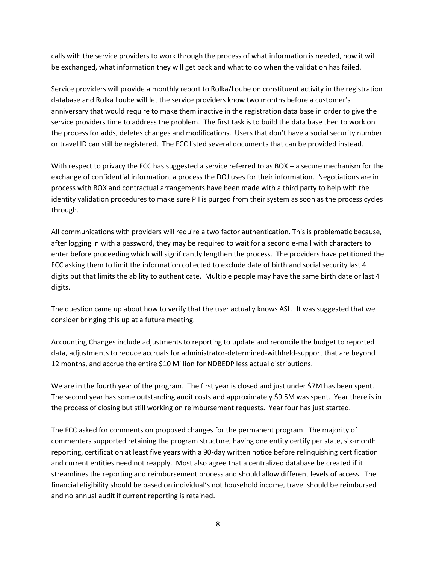calls with the service providers to work through the process of what information is needed, how it will be exchanged, what information they will get back and what to do when the validation has failed.

Service providers will provide a monthly report to Rolka/Loube on constituent activity in the registration database and Rolka Loube will let the service providers know two months before a customer's anniversary that would require to make them inactive in the registration data base in order to give the service providers time to address the problem. The first task is to build the data base then to work on the process for adds, deletes changes and modifications. Users that don't have a social security number or travel ID can still be registered. The FCC listed several documents that can be provided instead.

With respect to privacy the FCC has suggested a service referred to as BOX – a secure mechanism for the exchange of confidential information, a process the DOJ uses for their information. Negotiations are in process with BOX and contractual arrangements have been made with a third party to help with the identity validation procedures to make sure PII is purged from their system as soon as the process cycles through.

All communications with providers will require a two factor authentication. This is problematic because, after logging in with a password, they may be required to wait for a second e-mail with characters to enter before proceeding which will significantly lengthen the process. The providers have petitioned the FCC asking them to limit the information collected to exclude date of birth and social security last 4 digits but that limits the ability to authenticate. Multiple people may have the same birth date or last 4 digits.

The question came up about how to verify that the user actually knows ASL. It was suggested that we consider bringing this up at a future meeting.

Accounting Changes include adjustments to reporting to update and reconcile the budget to reported data, adjustments to reduce accruals for administrator-determined-withheld-support that are beyond 12 months, and accrue the entire \$10 Million for NDBEDP less actual distributions.

We are in the fourth year of the program. The first year is closed and just under \$7M has been spent. The second year has some outstanding audit costs and approximately \$9.5M was spent. Year there is in the process of closing but still working on reimbursement requests. Year four has just started.

The FCC asked for comments on proposed changes for the permanent program. The majority of commenters supported retaining the program structure, having one entity certify per state, six-month reporting, certification at least five years with a 90-day written notice before relinquishing certification and current entities need not reapply. Most also agree that a centralized database be created if it streamlines the reporting and reimbursement process and should allow different levels of access. The financial eligibility should be based on individual's not household income, travel should be reimbursed and no annual audit if current reporting is retained.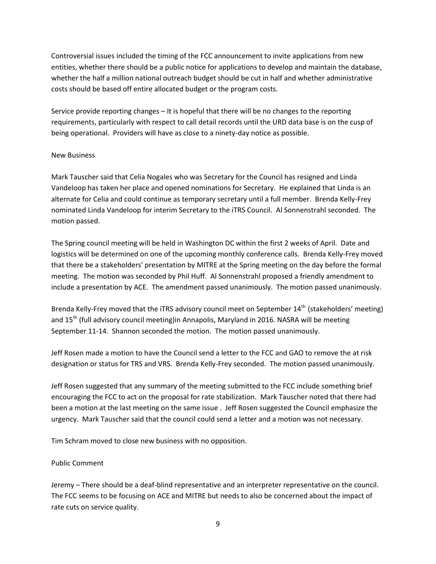Controversial issues included the timing of the FCC announcement to invite applications from new entities, whether there should be a public notice for applications to develop and maintain the database, whether the half a million national outreach budget should be cut in half and whether administrative costs should be based off entire allocated budget or the program costs.

Service provide reporting changes – It is hopeful that there will be no changes to the reporting requirements, particularly with respect to call detail records until the URD data base is on the cusp of being operational. Providers will have as close to a ninety-day notice as possible.

## New Business

Mark Tauscher said that Celia Nogales who was Secretary for the Council has resigned and Linda Vandeloop has taken her place and opened nominations for Secretary. He explained that Linda is an alternate for Celia and could continue as temporary secretary until a full member. Brenda Kelly-Frey nominated Linda Vandeloop for interim Secretary to the iTRS Council. Al Sonnenstrahl seconded. The motion passed.

The Spring council meeting will be held in Washington DC within the first 2 weeks of April. Date and logistics will be determined on one of the upcoming monthly conference calls. Brenda Kelly-Frey moved that there be a stakeholders' presentation by MITRE at the Spring meeting on the day before the formal meeting. The motion was seconded by Phil Huff. Al Sonnenstrahl proposed a friendly amendment to include a presentation by ACE. The amendment passed unanimously. The motion passed unanimously.

Brenda Kelly-Frey moved that the iTRS advisory council meet on September  $14<sup>th</sup>$  (stakeholders' meeting) and 15<sup>th</sup> (full advisory council meeting)in Annapolis, Maryland in 2016. NASRA will be meeting September 11-14. Shannon seconded the motion. The motion passed unanimously.

Jeff Rosen made a motion to have the Council send a letter to the FCC and GAO to remove the at risk designation or status for TRS and VRS. Brenda Kelly-Frey seconded. The motion passed unanimously.

Jeff Rosen suggested that any summary of the meeting submitted to the FCC include something brief encouraging the FCC to act on the proposal for rate stabilization. Mark Tauscher noted that there had been a motion at the last meeting on the same issue . Jeff Rosen suggested the Council emphasize the urgency. Mark Tauscher said that the council could send a letter and a motion was not necessary.

Tim Schram moved to close new business with no opposition.

## Public Comment

Jeremy – There should be a deaf-blind representative and an interpreter representative on the council. The FCC seems to be focusing on ACE and MITRE but needs to also be concerned about the impact of rate cuts on service quality.